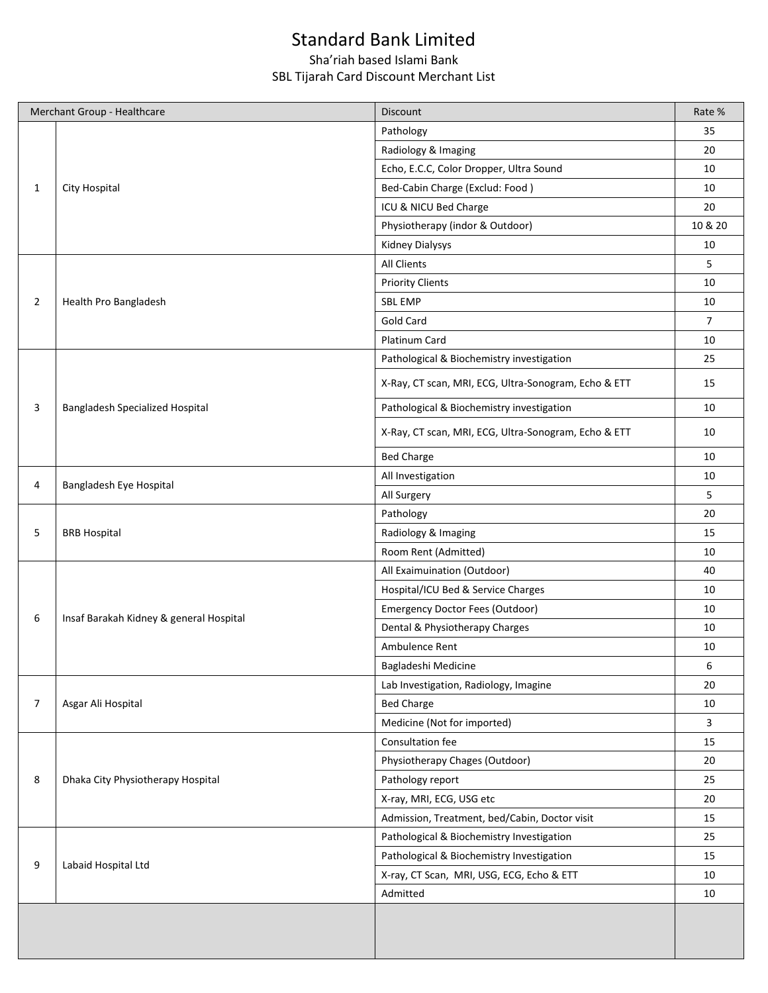## Standard Bank Limited

## Sha'riah based Islami Bank SBL Tijarah Card Discount Merchant List

|                       | Merchant Group - Healthcare                         | Discount                                             | Rate %         |
|-----------------------|-----------------------------------------------------|------------------------------------------------------|----------------|
|                       |                                                     | Pathology                                            | 35             |
|                       | City Hospital                                       | Radiology & Imaging                                  | 20             |
|                       |                                                     | Echo, E.C.C, Color Dropper, Ultra Sound              | 10             |
| 1                     |                                                     | Bed-Cabin Charge (Exclud: Food)                      | 10             |
|                       |                                                     | ICU & NICU Bed Charge                                | 20             |
|                       |                                                     | Physiotherapy (indor & Outdoor)                      | 10 & 20        |
|                       |                                                     | <b>Kidney Dialysys</b>                               | 10             |
|                       |                                                     | All Clients                                          | 5              |
|                       | Health Pro Bangladesh                               | <b>Priority Clients</b>                              | 10             |
| $\overline{2}$        |                                                     | <b>SBL EMP</b>                                       | 10             |
|                       |                                                     | Gold Card                                            | $\overline{7}$ |
|                       |                                                     | Platinum Card                                        | 10             |
|                       | Bangladesh Specialized Hospital                     | Pathological & Biochemistry investigation            | 25             |
|                       |                                                     | X-Ray, CT scan, MRI, ECG, Ultra-Sonogram, Echo & ETT | 15             |
| 3                     |                                                     | Pathological & Biochemistry investigation            | 10             |
|                       |                                                     | X-Ray, CT scan, MRI, ECG, Ultra-Sonogram, Echo & ETT | 10             |
|                       |                                                     | <b>Bed Charge</b>                                    | 10             |
|                       |                                                     | All Investigation                                    | 10             |
|                       | Bangladesh Eye Hospital<br>All Surgery<br>Pathology |                                                      | 5              |
|                       |                                                     |                                                      | 20             |
| 5                     | <b>BRB Hospital</b>                                 | Radiology & Imaging                                  | 15<br>10       |
|                       |                                                     | Room Rent (Admitted)                                 |                |
|                       |                                                     | All Exaimuination (Outdoor)                          | 40<br>10<br>10 |
|                       |                                                     | Hospital/ICU Bed & Service Charges                   |                |
|                       |                                                     | Emergency Doctor Fees (Outdoor)                      |                |
|                       | Insaf Barakah Kidney & general Hospital             | Dental & Physiotherapy Charges                       | 10             |
|                       |                                                     | Ambulence Rent                                       | 10             |
|                       |                                                     | Bagladeshi Medicine                                  | 6              |
|                       |                                                     | Lab Investigation, Radiology, Imagine                | 20             |
| 4<br>6<br>7<br>8<br>9 | Asgar Ali Hospital                                  | <b>Bed Charge</b>                                    | 10             |
|                       |                                                     | Medicine (Not for imported)                          | 3              |
|                       |                                                     | Consultation fee                                     | 15             |
|                       | Dhaka City Physiotherapy Hospital                   | Physiotherapy Chages (Outdoor)                       | 20             |
|                       |                                                     | Pathology report                                     | 25             |
|                       |                                                     | X-ray, MRI, ECG, USG etc                             | 20             |
|                       |                                                     | Admission, Treatment, bed/Cabin, Doctor visit        | 15             |
|                       | Labaid Hospital Ltd                                 | Pathological & Biochemistry Investigation            | 25             |
|                       |                                                     | Pathological & Biochemistry Investigation            | 15             |
|                       |                                                     | X-ray, CT Scan, MRI, USG, ECG, Echo & ETT            | 10             |
|                       |                                                     | Admitted                                             | 10             |
|                       |                                                     |                                                      |                |
|                       |                                                     |                                                      |                |
|                       |                                                     |                                                      |                |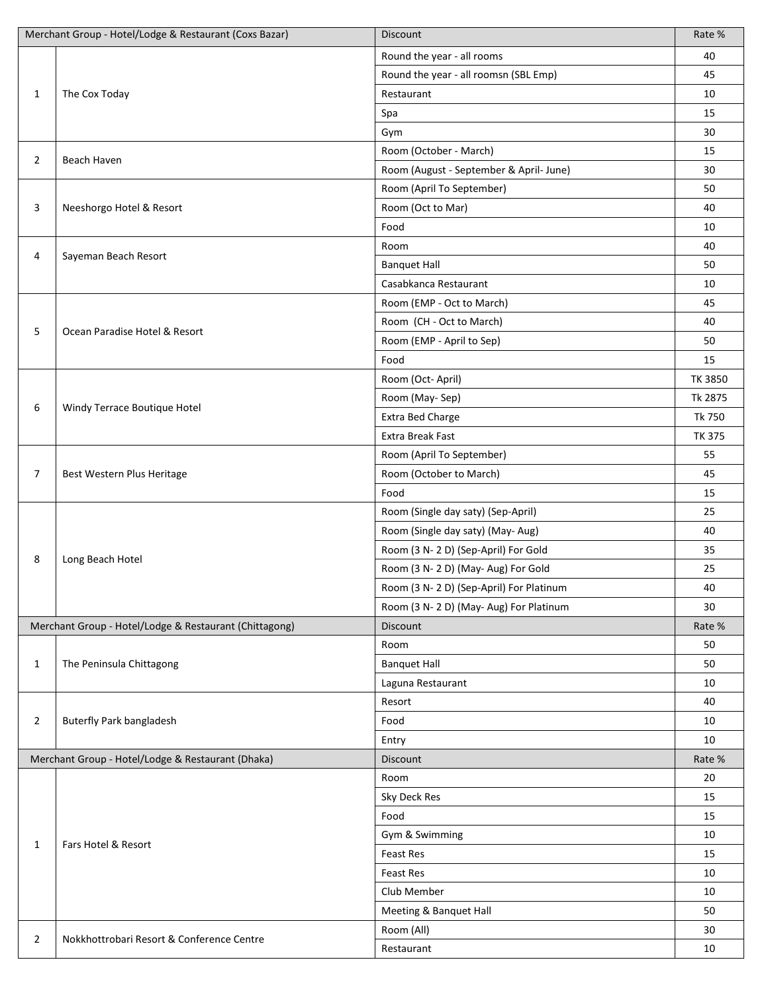|                | Merchant Group - Hotel/Lodge & Restaurant (Coxs Bazar) | Discount                                | Rate %         |
|----------------|--------------------------------------------------------|-----------------------------------------|----------------|
|                |                                                        | Round the year - all rooms              | 40             |
|                |                                                        | Round the year - all roomsn (SBL Emp)   | 45             |
| $\mathbf{1}$   | The Cox Today                                          | Restaurant                              | 10             |
|                |                                                        | Spa                                     | 15             |
|                |                                                        | Gym                                     | 30             |
|                |                                                        | Room (October - March)                  | 15             |
| $\overline{2}$ | Beach Haven                                            | Room (August - September & April- June) | 30             |
|                |                                                        | Room (April To September)               | 50             |
| 3              | Neeshorgo Hotel & Resort                               | Room (Oct to Mar)                       | 40             |
|                |                                                        | Food                                    | 10             |
|                |                                                        | Room                                    | 40             |
| 4              | Sayeman Beach Resort                                   | <b>Banquet Hall</b>                     | 50             |
|                |                                                        | Casabkanca Restaurant                   | 10             |
|                |                                                        | Room (EMP - Oct to March)               | 45             |
|                |                                                        | Room (CH - Oct to March)                | 40             |
| 5              | Ocean Paradise Hotel & Resort                          | Room (EMP - April to Sep)               | 50             |
|                |                                                        | Food                                    | 15             |
|                |                                                        | Room (Oct-April)                        | <b>TK 3850</b> |
|                |                                                        | Room (May-Sep)                          | Tk 2875        |
| 6              | Windy Terrace Boutique Hotel                           | Extra Bed Charge                        | Tk 750         |
|                |                                                        | <b>Extra Break Fast</b>                 | <b>TK 375</b>  |
|                |                                                        | Room (April To September)               | 55             |
| 7              | Best Western Plus Heritage                             | Room (October to March)                 | 45             |
|                |                                                        | Food                                    | 15             |
|                |                                                        | Room (Single day saty) (Sep-April)      | 25             |
|                | Long Beach Hotel                                       | Room (Single day saty) (May-Aug)        | 40             |
|                |                                                        | Room (3 N-2D) (Sep-April) For Gold      | 35             |
| 8              |                                                        | Room (3 N-2D) (May-Aug) For Gold        | 25             |
|                |                                                        | Room (3 N-2D) (Sep-April) For Platinum  | 40             |
|                |                                                        | Room (3 N-2D) (May-Aug) For Platinum    | 30             |
|                | Merchant Group - Hotel/Lodge & Restaurant (Chittagong) | Discount                                | Rate %         |
|                |                                                        | Room                                    | 50             |
| $\mathbf{1}$   | The Peninsula Chittagong                               | <b>Banquet Hall</b>                     | 50             |
|                |                                                        | Laguna Restaurant                       | 10             |
|                |                                                        | Resort                                  | 40             |
| $\overline{2}$ | <b>Buterfly Park bangladesh</b>                        | Food                                    | 10             |
|                |                                                        | Entry                                   | 10             |
|                | Merchant Group - Hotel/Lodge & Restaurant (Dhaka)      | Discount                                | Rate %         |
|                | Fars Hotel & Resort                                    | Room                                    | 20             |
|                |                                                        | Sky Deck Res                            | 15             |
|                |                                                        | Food                                    | 15             |
| 1              |                                                        | Gym & Swimming                          | 10             |
|                |                                                        | <b>Feast Res</b>                        | 15             |
|                |                                                        | <b>Feast Res</b>                        | 10             |
|                |                                                        | Club Member                             | 10             |
|                |                                                        | Meeting & Banquet Hall                  | 50             |
|                |                                                        | Room (All)                              | 30             |
| 2              | Nokkhottrobari Resort & Conference Centre              | Restaurant                              | 10             |